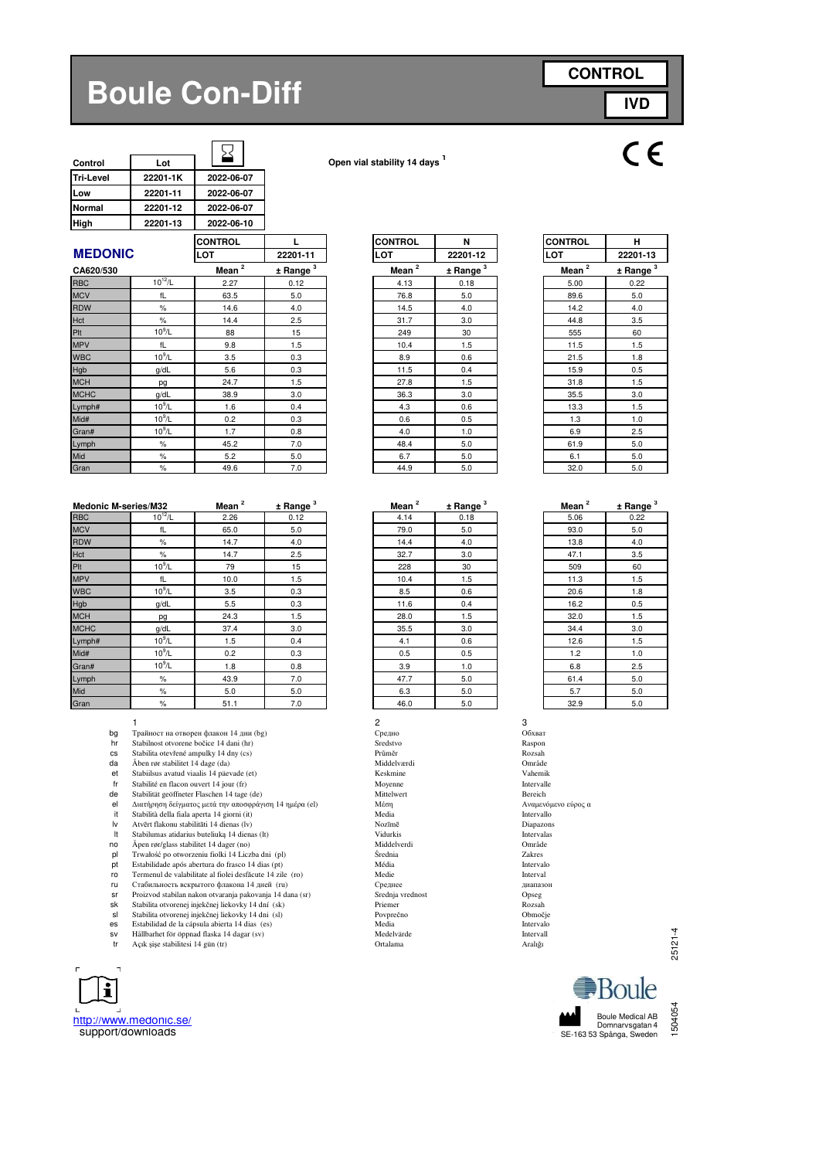# **Boule Con-Diff**

| <b>CONTROL</b> |            |  |  |  |
|----------------|------------|--|--|--|
|                | <b>IVD</b> |  |  |  |

| Control          | Lot      |            |
|------------------|----------|------------|
| <b>Tri-Level</b> | 22201-1K | 2022-06-07 |
| Low              | 22201-11 | 2022-06-07 |
| <b>Normal</b>    | 22201-12 | 2022-06-07 |
| High             | 22201-13 | 2022-06-10 |
|                  |          |            |

**Control Lot Open vial stability 14 days <sup>1</sup>**

|                |             | <b>CONTROL</b> |               | <b>CONTROL</b>      | N                      | <b>CONTROL</b> | н        |
|----------------|-------------|----------------|---------------|---------------------|------------------------|----------------|----------|
| <b>MEDONIC</b> |             | LOT            | 22201-11      | <b>LOT</b>          | 22201-12               | <b>LOT</b>     | 22201-13 |
| CA620/530      |             | Mean $^2$      | $±$ Range $3$ | Mean $\overline{2}$ | $±$ Range <sup>3</sup> | Mean $^2$      | ± Range  |
| <b>RBC</b>     | $10^{12}/L$ | 2.27           | 0.12          | 4.13                | 0.18                   | 5.00           | 0.22     |
| <b>MCV</b>     | fL          | 63.5           | 5.0           | 76.8                | 5.0                    | 89.6           | 5.0      |
| <b>RDW</b>     | $\%$        | 14.6           | 4.0           | 14.5                | 4.0                    | 14.2           | 4.0      |
| Hct            | $\%$        | 14.4           | 2.5           | 31.7                | 3.0                    | 44.8           | 3.5      |
| Plt            | $10^9$ /L   | 88             | 15            | 249                 | 30                     | 555            | 60       |
| <b>MPV</b>     | fL          | 9.8            | 1.5           | 10.4                | 1.5                    | 11.5           | 1.5      |
| <b>WBC</b>     | $10^9$ /L   | 3.5            | 0.3           | 8.9                 | 0.6                    | 21.5           | 1.8      |
| Hgb            | g/dL        | 5.6            | 0.3           | 11.5                | 0.4                    | 15.9           | 0.5      |
| <b>MCH</b>     | pg          | 24.7           | 1.5           | 27.8                | 1.5                    | 31.8           | 1.5      |
| <b>MCHC</b>    | g/dL        | 38.9           | 3.0           | 36.3                | 3.0                    | 35.5           | 3.0      |
| Lymph#         | $10^9$ /L   | 1.6            | 0.4           | 4.3                 | 0.6                    | 13.3           | 1.5      |
| Mid#           | $10^9$ /L   | 0.2            | 0.3           | 0.6                 | 0.5                    | 1.3            | 1.0      |
| Gran#          | $10^9$ /L   | 1.7            | 0.8           | 4.0                 | 1.0                    | 6.9            | 2.5      |
| Lymph          | $\%$        | 45.2           | 7.0           | 48.4                | 5.0                    | 61.9           | 5.0      |
| Mid            | $\%$        | 5.2            | 5.0           | 6.7                 | 5.0                    | 6.1            | 5.0      |
| Gran           | $\%$        | 49.6           | 7.0           | 44.9                | 5.0                    | 32.0           | 5.0      |

| <b>Medonic M-series/M32</b> |             | Mean <sup>2</sup> | ± Range <sup>3</sup> | Mean <sup>2</sup> | $\pm$ Range $^3$ | Mean <sup>2</sup> | ± Rang  |
|-----------------------------|-------------|-------------------|----------------------|-------------------|------------------|-------------------|---------|
| <b>RBC</b>                  | $10^{12}/L$ | 2.26              | 0.12                 | 4.14              | 0.18             | 5.06              | 0.22    |
| <b>MCV</b>                  | fL          | 65.0              | 5.0                  | 79.0              | 5.0              | 93.0              | 5.0     |
| <b>RDW</b>                  | $\%$        | 14.7              | 4.0                  | 14.4              | 4.0              | 13.8              | 4.0     |
| Hct                         | %           | 14.7              | 2.5                  | 32.7              | 3.0              | 47.1              | 3.5     |
| Plt                         | $10^9$ /L   | 79                | 15                   | 228               | 30               | 509               | 60      |
| <b>MPV</b>                  | fL          | 10.0              | 1.5                  | 10.4              | 1.5              | 11.3              | 1.5     |
| <b>WBC</b>                  | $10^9$ /L   | 3.5               | 0.3                  | 8.5               | 0.6              | 20.6              | 1.8     |
| Hgb                         | g/dL        | 5.5               | 0.3                  | 11.6              | 0.4              | 16.2              | 0.5     |
| <b>MCH</b>                  | pg          | 24.3              | 1.5                  | 28.0              | 1.5              | 32.0              | 1.5     |
| <b>MCHC</b>                 | g/dL        | 37.4              | 3.0                  | 35.5              | 3.0              | 34.4              | 3.0     |
| Lymph#                      | $10^9$ /L   | 1.5               | 0.4                  | 4.1               | 0.6              | 12.6              | 1.5     |
| Mid#                        | $10^9$ /L   | 0.2               | 0.3                  | 0.5               | 0.5              | 1.2               | $1.0$   |
| Gran#                       | $10^9$ /L   | 1.8               | 0.8                  | 3.9               | 1.0              | 6.8               | 2.5     |
| Lymph                       | %           | 43.9              | 7.0                  | 47.7              | 5.0              | 61.4              | $5.0\,$ |
| Mid                         | $\%$        | 5.0               | 5.0                  | 6.3               | 5.0              | 5.7               | 5.0     |
| Gran                        | $\%$        | 51.1              | 7.0                  | 46.0              | 5.0              | 32.9              | 5.0     |

- 1  $\overline{\phantom{a}}$  3 **bg** Трайност на отворен флакон 14 дни (bg)  $\begin{array}{ccc}\n\text{C} & \text{C} & \text{C} \\
\text{D} & \text{D} & \text{D} & \text{D} \\
\text{D} & \text{D} & \text{D} & \text{D} \\
\text{D} & \text{D} & \text{D} & \text{D} \\
\text{D} & \text{D} & \text{D} & \text{D} \\
\text{E} & \text{D} & \text{D} & \text{D} \\
\text{E} & \text{D} & \text{D} & \text{D} \\
\text{E$
- hr Stabilnost otvorene bočice 14 dani (hr)<br>Stabilnost otvorene bočice 14 dani (hr)<br>Stabilita otevřené ampulky 14 dny (cs) Průměr
- 
- 
- da Åben rør stabilitet 14 dage (da) Middelværdi Område (dat Middelværdi Område (dat Middelværdi Område Vahemik<br>
et Stabiilsus avatud viaalis 14 päevade (et) Stabiilsus (dat Middelværdi Vahemik
- fr Stabilité en flacon ouvert 14 jour (fr) Moyenne Moyenne Intervalle
- 
- de Stabilität geöffneter Flaschen 14 tage (de) Mittelwert Bereich el Διατήρηση δείγματος μετά την αποσφράγιση 14 ημέρα (el) Μεσικός Αναμενόμενος αποσφράγιση 14 ημέρα (el) Μεσικός από την αποσφοράγιση 14 ημέρα (el) Μέση Αναμενόμενος μετά την αποσφράγιση 14 ημέρα (el) Μέση Αναμενόμενος απ
- it Stabilità della fiala aperta 14 giorni (it) **Intervallo**<br>Iv Atvērt flakonu stabilitāti 14 dienas (lv) Nozīmē Nozīmē Diapazons
- 
- 
- lt Stabilumas atidarius buteliuką 14 dienas (lt) Vidurkis Vidurkis variantervalas (lt) Vidurkis Intervalas (lt<br>
19 1 novembrie 14 dienas (lt) Middelverdi Vidurkis Vidurkis (lt) Område<br>
19 1 novembrie 14 dienas (lt) Stredni no Åpen rør/glass stabilitet 14 dager (no) Middelverdi Område pl Trwałość po otworzeniu fiolki 14 Liczba dni (pl) Średnia Zakres
- 
- pt Estabilidade após abertura do frasco 14 dias (pt) Média Intervalo ro Termenul de valabilitate al fiolei desfăcute 14 zile (ro) Medie Interval
- 
- ru Стабильность вскрытого флакона 14 дней (ru) Среднее дека Стабильность в скрытого флакона 14 дней (ru) Среднее дека Среднее диапазон<br>
Sr Proizvod stabilan nakon otvaranja pakovanja 14 dana (sr) Srednja vrednost Chesa Ch
- sr Proizvod stabilan nakon otvaranja pakovanja 14 dana (sr) Srednja vrednost Opseg sk Stabilita otvorenej injekčnej liekovky 14 dní (sk) Priemer Rozsah
- sl Stabilita otvorenej injekčnej liekovky 14 dni (sl)<br> **es** Estabilidad de la cápsula abierta 14 dias (es) Media Media Media Intervalo
- 
- sv Hållbarhet för öppnad flaska 14 dagar (sv) Medelvärde Intervall<br>Tr Açık şişe stabilitesi 14 gün (tr) Ortalama Ortalama Aralığı



| <b>ICONTROL</b> | н                            |
|-----------------|------------------------------|
| LOT             | 22201-13                     |
| Mean $^2$       | <u>± Rang</u> e <sup>3</sup> |
| 5.00            | 0.22                         |
| 89.6            | 5.0                          |
| 14.2            | 4.0                          |
| 44.8            | 3.5                          |
| 555             | 60                           |
| 11.5            | 1.5                          |
| 21.5            | 1.8                          |
| 15.9            | 0.5                          |
| 31.8            | 1.5                          |
| 35.5            | 3.0                          |
| 13.3            | 1.5                          |
| 1.3             | 1.0                          |
| 6.9             | 2.5                          |
| 61.9            | 5.0                          |
| 6.1             | 5.0                          |
| 32.0            | 5.0                          |
|                 |                              |

**± Range <sup>3</sup>**

| 2<br>Mean | <u>± Rang</u> e <sup>3</sup> |
|-----------|------------------------------|
| 4.14      | 0.18                         |
| 79.0      | 5.0                          |
| 14.4      | 4.0                          |
| 32.7      | 3.0                          |
| 228       | 30                           |
| 10.4      | 1.5                          |
| 8.5       | 0.6                          |
| 11.6      | 0.4                          |
| 28.0      | 1.5                          |
| 35.5      | 3.0                          |
| 4.1       | 0.6                          |
| 0.5       | 0.5                          |
| 3.9       | 1.0                          |
| 47.7      | 5.0                          |
| 6.3       | 5.0                          |
| $\sim$    | - -                          |

cs Stabilita otevřené ampulky 14 dny (cs)<br>
Cs Stabilita otevřené ampulky 14 dny (cs)<br>
Průměr Rozsah Middelværdi – Rozsah Middelværdi – Rozsah Middelværdi – Rozsah Middelværdi – Rozsah Middelværdi<br>
Průměr – Rozsah Middelvær

**Mean** <sup>2</sup><br>5.06

25121-4